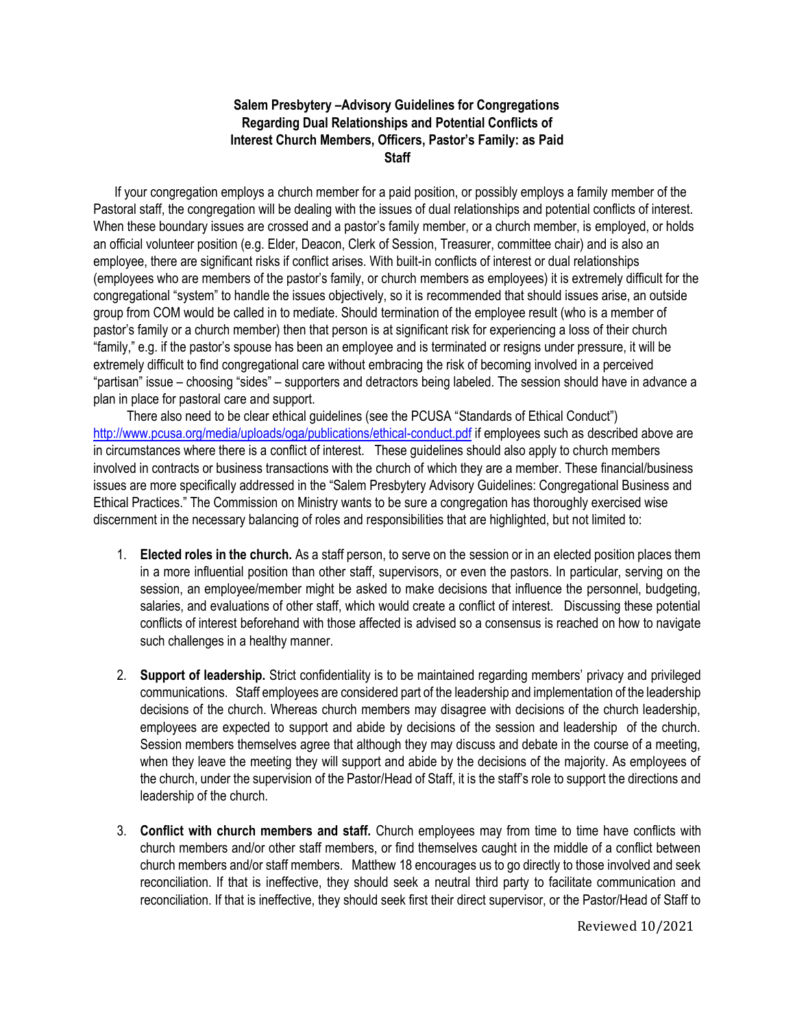## A **Salem Presbytery –Advisory Guidelines for Congregations**  G **Interest Church Members, Officers, Pastor's Family: as Paid**  E **Staff Regarding Dual Relationships and Potential Conflicts of**

If your congregation employs a church member for a paid position, or possibly employs a family member of the Pastoral staff, the congregation will be dealing with the issues of dual relationships and potential conflicts of interest. When these boundary issues are crossed and a pastor's family member, or a church member, is employed, or holds an official volunteer position (e.g. Elder, Deacon, Clerk of Session, Treasurer, committee chair) and is also an employee, there are significant risks if conflict arises. With built-in conflicts of interest or dual relationships (employees who are members of the pastor's family, or church members as employees) it is extremely difficult for the congregational "system" to handle the issues objectively, so it is recommended that should issues arise, an outside group from COM would be called in to mediate. Should termination of the employee result (who is a member of pastor's family or a church member) then that person is at significant risk for experiencing a loss of their church "family," e.g. if the pastor's spouse has been an employee and is terminated or resigns under pressure, it will be extremely difficult to find congregational care without embracing the risk of becoming involved in a perceived "partisan" issue – choosing "sides" – supporters and detractors being labeled. The session should have in advance a plan in place for pastoral care and support.

There also need to be clear ethical guidelines (see the PCUSA "Standards of Ethical Conduct") <http://www.pcusa.org/media/uploads/oga/publications/ethical-conduct.pdf> if employees such as described above are in circumstances where there is a conflict of interest. These guidelines should also apply to church members involved in contracts or business transactions with the church of which they are a member. These financial/business issues are more specifically addressed in the "Salem Presbytery Advisory Guidelines: Congregational Business and Ethical Practices." The Commission on Ministry wants to be sure a congregation has thoroughly exercised wise discernment in the necessary balancing of roles and responsibilities that are highlighted, but not limited to:

- 1. **Elected roles in the church.** As a staff person, to serve on the session or in an elected position places them in a more influential position than other staff, supervisors, or even the pastors. In particular, serving on the session, an employee/member might be asked to make decisions that influence the personnel, budgeting, salaries, and evaluations of other staff, which would create a conflict of interest. Discussing these potential conflicts of interest beforehand with those affected is advised so a consensus is reached on how to navigate such challenges in a healthy manner.
- 2. **Support of leadership.** Strict confidentiality is to be maintained regarding members' privacy and privileged communications. Staff employees are considered part of the leadership and implementation of the leadership decisions of the church. Whereas church members may disagree with decisions of the church leadership, employees are expected to support and abide by decisions of the session and leadership of the church. Session members themselves agree that although they may discuss and debate in the course of a meeting, when they leave the meeting they will support and abide by the decisions of the majority. As employees of the church, under the supervision of the Pastor/Head of Staff, it is the staff's role to support the directions and leadership of the church.
- 3. **Conflict with church members and staff.** Church employees may from time to time have conflicts with church members and/or other staff members, or find themselves caught in the middle of a conflict between church members and/or staff members. Matthew 18 encourages us to go directly to those involved and seek reconciliation. If that is ineffective, they should seek a neutral third party to facilitate communication and reconciliation. If that is ineffective, they should seek first their direct supervisor, or the Pastor/Head of Staff to

Reviewed 10/2021